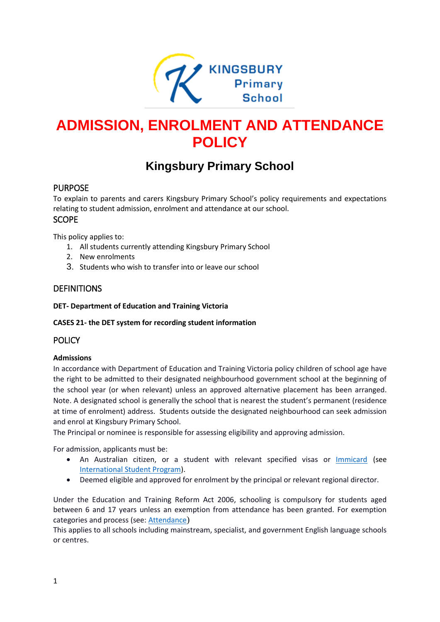

# **ADMISSION, ENROLMENT AND ATTENDANCE POLICY**

# **Kingsbury Primary School**

# PURPOSE

To explain to parents and carers Kingsbury Primary School's policy requirements and expectations relating to student admission, enrolment and attendance at our school. SCOPE

This policy applies to:

- 1. All students currently attending Kingsbury Primary School
- 2. New enrolments
- 3. Students who wish to transfer into or leave our school

# **DEFINITIONS**

#### **DET- Department of Education and Training Victoria**

#### **CASES 21- the DET system for recording student information**

## POLICY

#### **Admissions**

In accordance with Department of Education and Training Victoria policy children of school age have the right to be admitted to their designated neighbourhood government school at the beginning of the school year (or when relevant) unless an approved alternative placement has been arranged. Note. A designated school is generally the school that is nearest the student's permanent (residence at time of enrolment) address. Students outside the designated neighbourhood can seek admission and enrol at Kingsbury Primary School.

The Principal or nominee is responsible for assessing eligibility and approving admission.

For admission, applicants must be:

- An Australian citizen, or a student with relevant specified visas or **[Immicard](https://www.border.gov.au/Trav/Refu/Immi)** (see [International Student Program\)](https://www.education.vic.gov.au/school/principals/spag/curriculum/pages/program.aspx).
- Deemed eligible and approved for enrolment by the principal or relevant regional director.

Under the Education and Training Reform Act 2006, schooling is compulsory for students aged between 6 and 17 years unless an exemption from attendance has been granted. For exemption categories and process (see[: Attendance](https://www.education.vic.gov.au/school/principals/spag/participation/Pages/attendance.aspx))

This applies to all schools including mainstream, specialist, and government English language schools or centres.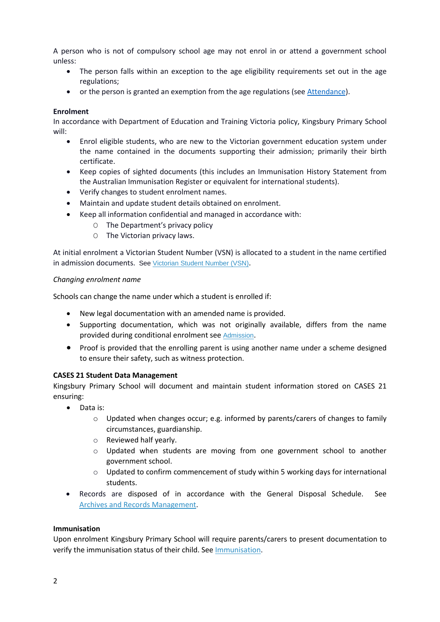A person who is not of compulsory school age may not enrol in or attend a government school unless:

- The person falls within an exception to the age eligibility requirements set out in the age regulations;
- or the person is granted an exemption from the age regulations (se[e Attendance\)](https://www.education.vic.gov.au/school/principals/spag/participation/Pages/attendance.aspx).

#### **Enrolment**

In accordance with Department of Education and Training Victoria policy, Kingsbury Primary School will:

- Enrol eligible students, who are new to the Victorian government education system under the name contained in the documents supporting their admission; primarily their birth certificate.
- Keep copies of sighted documents (this includes an Immunisation History Statement from the Australian Immunisation Register or equivalent for international students).
- Verify changes to student enrolment names.
- Maintain and update student details obtained on enrolment.
- Keep all information confidential and managed in accordance with:
	- O The Department's privacy policy
	- O The Victorian privacy laws.

At initial enrolment a Victorian Student Number (VSN) is allocated to a student in the name certified in admission documents. Se[e Victorian Student Number \(VSN\)](http://www.vcaa.vic.edu.au/pages/schooladmin/vsn/index.aspx).

#### *Changing enrolment name*

Schools can change the name under which a student is enrolled if:

- New legal documentation with an amended name is provided.
- Supporting documentation, which was not originally available, differs from the name provided during conditional enrolment see [Admission](https://www.education.vic.gov.au/school/principals/spag/participation/Pages/admission.aspx).
- Proof is provided that the enrolling parent is using another name under a scheme designed to ensure their safety, such as witness protection.

#### **CASES 21 Student Data Management**

Kingsbury Primary School will document and maintain student information stored on CASES 21 ensuring:

- Data is:
	- $\circ$  Updated when changes occur; e.g. informed by parents/carers of changes to family circumstances, guardianship.
	- o Reviewed half yearly.
	- o Updated when students are moving from one government school to another government school.
	- o Updated to confirm commencement of study within 5 working days for international students.
- Records are disposed of in accordance with the General Disposal Schedule. See [Archives and Records Management.](https://www.education.vic.gov.au/school/principals/spag/governance/pages/archives.aspx)

#### **Immunisation**

Upon enrolment Kingsbury Primary School will require parents/carers to present documentation to verify the immunisation status of their child. See [Immunisation.](https://www.education.vic.gov.au/school/principals/spag/health/Pages/immunisation.aspx)